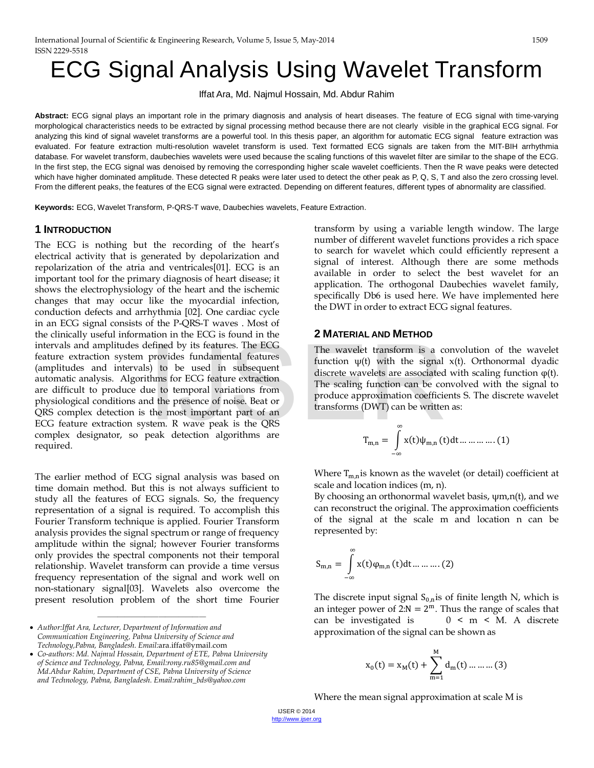# ECG Signal Analysis Using Wavelet Transform

Iffat Ara, Md. Najmul Hossain, Md. Abdur Rahim

**Abstract:** ECG signal plays an important role in the primary diagnosis and analysis of heart diseases. The feature of ECG signal with time-varying morphological characteristics needs to be extracted by signal processing method because there are not clearly visible in the graphical ECG signal. For analyzing this kind of signal wavelet transforms are a powerful tool. In this thesis paper, an algorithm for automatic ECG signal feature extraction was evaluated. For feature extraction multi-resolution wavelet transform is used. Text formatted ECG signals are taken from the MIT-BIH arrhythmia database. For wavelet transform, daubechies wavelets were used because the scaling functions of this wavelet filter are similar to the shape of the ECG. In the first step, the ECG signal was denoised by removing the corresponding higher scale wavelet coefficients. Then the R wave peaks were detected which have higher dominated amplitude. These detected R peaks were later used to detect the other peak as P, Q, S, T and also the zero crossing level. From the different peaks, the features of the ECG signal were extracted. Depending on different features, different types of abnormality are classified.

**Keywords:** ECG, Wavelet Transform, P-QRS-T wave, Daubechies wavelets, Feature Extraction.

### **1 INTRODUCTION**

The ECG is nothing but the recording of the heart's electrical activity that is generated by depolarization and repolarization of the atria and ventricales[01]. ECG is an important tool for the primary diagnosis of heart disease; it shows the electrophysiology of the heart and the ischemic changes that may occur like the myocardial infection, conduction defects and arrhythmia [02]. One cardiac cycle in an ECG signal consists of the P-QRS-T waves . Most of the clinically useful information in the ECG is found in the intervals and amplitudes defined by its features. The ECG feature extraction system provides fundamental features (amplitudes and intervals) to be used in subsequent automatic analysis. Algorithms for ECG feature extraction are difficult to produce due to temporal variations from physiological conditions and the presence of noise. Beat or QRS complex detection is the most important part of an ECG feature extraction system. R wave peak is the QRS complex designator, so peak detection algorithms are required. Example the signal of the signal of the signal of the signal of the signal of the signal of the signal of the signal of the signal discrete wavelets are associated<br>thus for ECG feature extraction<br>at the presence of noise.

The earlier method of ECG signal analysis was based on time domain method. But this is not always sufficient to study all the features of ECG signals. So, the frequency representation of a signal is required. To accomplish this Fourier Transform technique is applied. Fourier Transform analysis provides the signal spectrum or range of frequency amplitude within the signal; however Fourier transforms only provides the spectral components not their temporal relationship. Wavelet transform can provide a time versus frequency representation of the signal and work well on non-stationary signal[03]. Wavelets also overcome the present resolution problem of the short time Fourier

• *Author:Iffat Ara, Lecturer, Department of Information and Communication Engineering, Pabna University of Science and Technology,Pabna, Bangladesh. Email:*[ara.iffat@ymail.com](mailto:ara.iffat@ymail.com)

————————————————

transform by using a variable length window. The large number of different wavelet functions provides a rich space to search for wavelet which could efficiently represent a signal of interest. Although there are some methods available in order to select the best wavelet for an application. The orthogonal Daubechies wavelet family, specifically Db6 is used here. We have implemented here the DWT in order to extract ECG signal features.

### **2 MATERIAL AND METHOD**

The wavelet transform is a convolution of the wavelet function  $\psi(t)$  with the signal  $x(t)$ . Orthonormal dyadic discrete wavelets are associated with scaling function  $\varphi(t)$ . The scaling function can be convolved with the signal to produce approximation coefficients S. The discrete wavelet transforms (DWT) can be written as:

$$
T_{m,n} = \int_{-\infty}^{\infty} x(t)\psi_{m,n}(t)dt \dots \dots \dots \dots (1)
$$

Where  $T_{m,n}$  is known as the wavelet (or detail) coefficient at scale and location indices (m, n).

By choosing an orthonormal wavelet basis, ψm,n(t), and we can reconstruct the original. The approximation coefficients of the signal at the scale m and location n can be represented by:

$$
S_{m,n}=\int\limits_{-\infty}^{\infty}x(t)\phi_{m,n}\left( t\right) dt\,...\,...\,...\left( 2\right)
$$

The discrete input signal  $S_{0,n}$  is of finite length N, which is an integer power of  $2:N = 2^m$ . Thus the range of scales that can be investigated is  $0 \le m \le M$ . A discrete  $0 \le m \le M$ . A discrete approximation of the signal can be shown as

$$
x_0(t) = x_M(t) + \sum_{m=1}^{M} d_m(t) \dots \dots \dots (3)
$$

Where the mean signal approximation at scale M is

<sup>•</sup> *Co-authors: Md. Najmul Hossain, Department of ETE, Pabna University of Science and Technology, Pabna, Email:rony.ru85@gmail.com and Md.Abdur Rahim, Department of CSE, Pabna University of Science and Technology, Pabna, Bangladesh. Email:rahim\_bds@yahoo.com*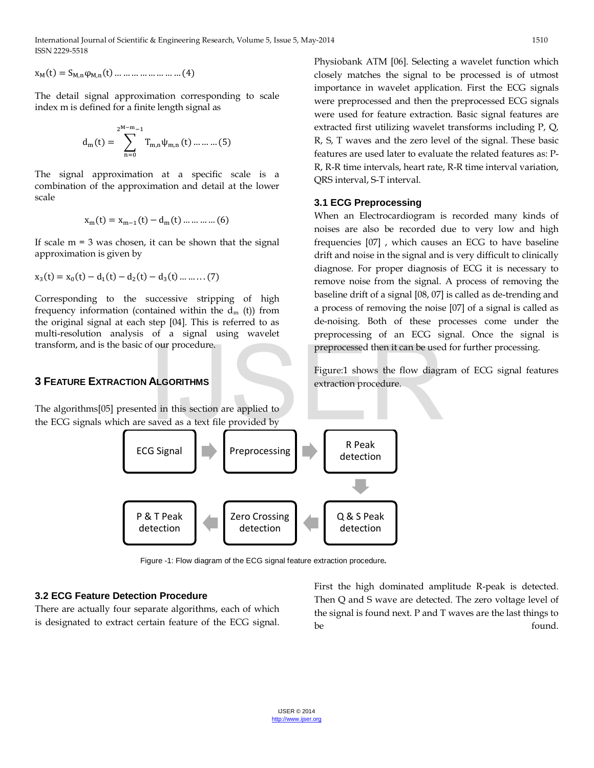International Journal of Scientific & Engineering Research, Volume 5, Issue 5, May-2014 1510 ISSN 2229-5518

 $x_M(t) = S_{M,n} \varphi_{M,n}(t) \dots \dots \dots \dots \dots \dots \dots (4)$ 

The detail signal approximation corresponding to scale index m is defined for a finite length signal as

$$
d_{m}(t) = \sum_{n=0}^{2^{M-m}-1} T_{m,n} \psi_{m,n}(t) \dots \dots \dots (5)
$$

The signal approximation at a specific scale is a combination of the approximation and detail at the lower scale

$$
x_m(t) = x_{m-1}(t) - d_m(t) \dots \dots \dots \dots (6)
$$

If scale  $m = 3$  was chosen, it can be shown that the signal approximation is given by

$$
x_3(t) = x_0(t) - d_1(t) - d_2(t) - d_3(t) \dots \dots \dots (7)
$$

Corresponding to the successive stripping of high frequency information (contained within the  $d_m$  (t)) from the original signal at each step [04]. This is referred to as multi-resolution analysis of a signal using wavelet transform, and is the basic of our procedure.

### **3 FEATURE EXTRACTION ALGORITHMS**

The algorithms[05] presented in this section are applied to the ECG signals which are saved as a text file provided by



Figure -1: Flow diagram of the ECG signal feature extraction procedure**.** 

### **3.2 ECG Feature Detection Procedure**

There are actually four separate algorithms, each of which is designated to extract certain feature of the ECG signal. Physiobank ATM [06]. Selecting a wavelet function which closely matches the signal to be processed is of utmost importance in wavelet application. First the ECG signals were preprocessed and then the preprocessed ECG signals were used for feature extraction. Basic signal features are extracted first utilizing wavelet transforms including P, Q, R, S, T waves and the zero level of the signal. These basic features are used later to evaluate the related features as: P-R, R-R time intervals, heart rate, R-R time interval variation, QRS interval, S-T interval.

### **3.1 ECG Preprocessing**

When an Electrocardiogram is recorded many kinds of noises are also be recorded due to very low and high frequencies [07] , which causes an ECG to have baseline drift and noise in the signal and is very difficult to clinically diagnose. For proper diagnosis of ECG it is necessary to remove noise from the signal. A process of removing the baseline drift of a signal [08, 07] is called as de-trending and a process of removing the noise [07] of a signal is called as de-noising. Both of these processes come under the preprocessing of an ECG signal. Once the signal is preprocessed then it can be used for further processing.

Figure:1 shows the flow diagram of ECG signal features extraction procedure.

First the high dominated amplitude R-peak is detected. Then Q and S wave are detected. The zero voltage level of the signal is found next. P and T waves are the last things to be found.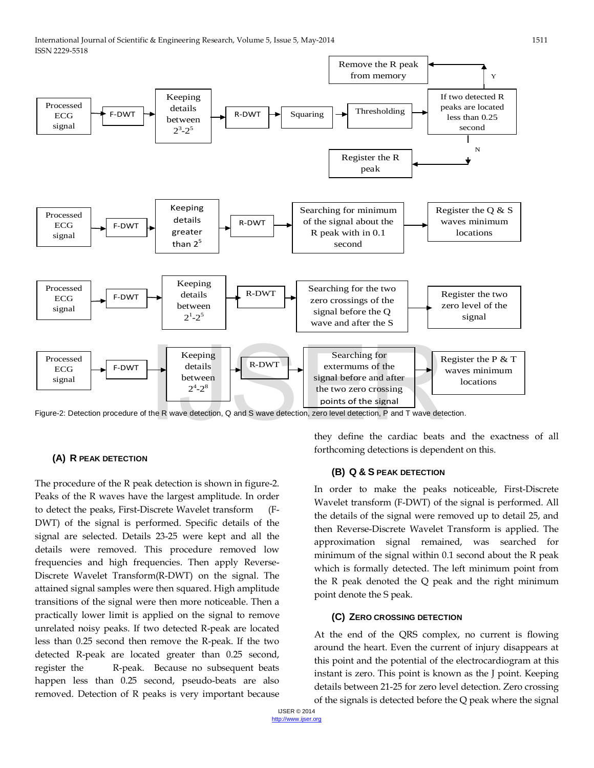

Figure-2: Detection procedure of the R wave detection, Q and S wave detection, zero level detection, P and T wave detection.

### **(A) R PEAK DETECTION**

The procedure of the R peak detection is shown in figure-2. Peaks of the R waves have the largest amplitude. In order to detect the peaks, First-Discrete Wavelet transform (F-DWT) of the signal is performed. Specific details of the signal are selected. Details 23-25 were kept and all the details were removed. This procedure removed low frequencies and high frequencies. Then apply Reverse-Discrete Wavelet Transform(R-DWT) on the signal. The attained signal samples were then squared. High amplitude transitions of the signal were then more noticeable. Then a practically lower limit is applied on the signal to remove unrelated noisy peaks. If two detected R-peak are located less than 0.25 second then remove the R-peak. If the two detected R-peak are located greater than 0.25 second, register the R-peak. Because no subsequent beats happen less than 0.25 second, pseudo-beats are also removed. Detection of R peaks is very important because they define the cardiac beats and the exactness of all forthcoming detections is dependent on this.

### **(B) Q & S PEAK DETECTION**

In order to make the peaks noticeable, First-Discrete Wavelet transform (F-DWT) of the signal is performed. All the details of the signal were removed up to detail 25, and then Reverse-Discrete Wavelet Transform is applied. The approximation signal remained, was searched for minimum of the signal within 0.1 second about the R peak which is formally detected. The left minimum point from the R peak denoted the Q peak and the right minimum point denote the S peak.

### **(C) ZERO CROSSING DETECTION**

At the end of the QRS complex, no current is flowing around the heart. Even the current of injury disappears at this point and the potential of the electrocardiogram at this instant is zero. This point is known as the J point. Keeping details between 21-25 for zero level detection. Zero crossing of the signals is detected before the Q peak where the signal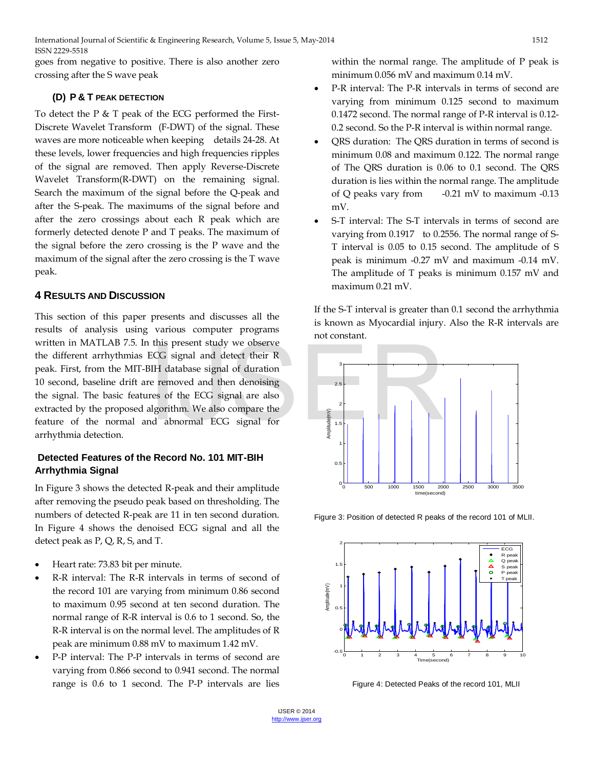International Journal of Scientific & Engineering Research, Volume 5, Issue 5, May-2014 1512 ISSN 2229-5518

goes from negative to positive. There is also another zero crossing after the S wave peak

### **(D) P & T PEAK DETECTION**

To detect the P & T peak of the ECG performed the First-Discrete Wavelet Transform (F-DWT) of the signal. These waves are more noticeable when keeping details 24-28. At these levels, lower frequencies and high frequencies ripples of the signal are removed. Then apply Reverse-Discrete Wavelet Transform(R-DWT) on the remaining signal. Search the maximum of the signal before the Q-peak and after the S-peak. The maximums of the signal before and after the zero crossings about each R peak which are formerly detected denote P and T peaks. The maximum of the signal before the zero crossing is the P wave and the maximum of the signal after the zero crossing is the T wave peak.

### **4 RESULTS AND DISCUSSION**

This section of this paper presents and discusses all the results of analysis using various computer programs written in MATLAB 7.5. In this present study we observe the different arrhythmias ECG signal and detect their R peak. First, from the MIT-BIH database signal of duration 10 second, baseline drift are removed and then denoising the signal. The basic features of the ECG signal are also extracted by the proposed algorithm. We also compare the feature of the normal and abnormal ECG signal for arrhythmia detection.

### **Detected Features of the Record No. 101 MIT-BIH Arrhythmia Signal**

In Figure 3 shows the detected R-peak and their amplitude after removing the pseudo peak based on thresholding. The numbers of detected R-peak are 11 in ten second duration. In Figure 4 shows the denoised ECG signal and all the detect peak as P, Q, R, S, and T.

- Heart rate: 73.83 bit per minute.
- R-R interval: The R-R intervals in terms of second of the record 101 are varying from minimum 0.86 second to maximum 0.95 second at ten second duration. The normal range of R-R interval is 0.6 to 1 second. So, the R-R interval is on the normal level. The amplitudes of R peak are minimum 0.88 mV to maximum 1.42 mV.
- P-P interval: The P-P intervals in terms of second are varying from 0.866 second to 0.941 second. The normal range is 0.6 to 1 second. The P-P intervals are lies

within the normal range. The amplitude of P peak is minimum 0.056 mV and maximum 0.14 mV.

- P-R interval: The P-R intervals in terms of second are varying from minimum 0.125 second to maximum 0.1472 second. The normal range of P-R interval is 0.12- 0.2 second. So the P-R interval is within normal range.
- QRS duration: The QRS duration in terms of second is minimum 0.08 and maximum 0.122. The normal range of The QRS duration is 0.06 to 0.1 second. The QRS duration is lies within the normal range. The amplitude of Q peaks vary from  $-0.21$  mV to maximum  $-0.13$ mV.
- S-T interval: The S-T intervals in terms of second are varying from 0.1917 to 0.2556. The normal range of S-T interval is 0.05 to 0.15 second. The amplitude of S peak is minimum -0.27 mV and maximum -0.14 mV. The amplitude of T peaks is minimum 0.157 mV and maximum 0.21 mV.

If the S-T interval is greater than 0.1 second the arrhythmia is known as Myocardial injury. Also the R-R intervals are not constant.



Figure 3: Position of detected R peaks of the record 101 of MLII.



Figure 4: Detected Peaks of the record 101, MLII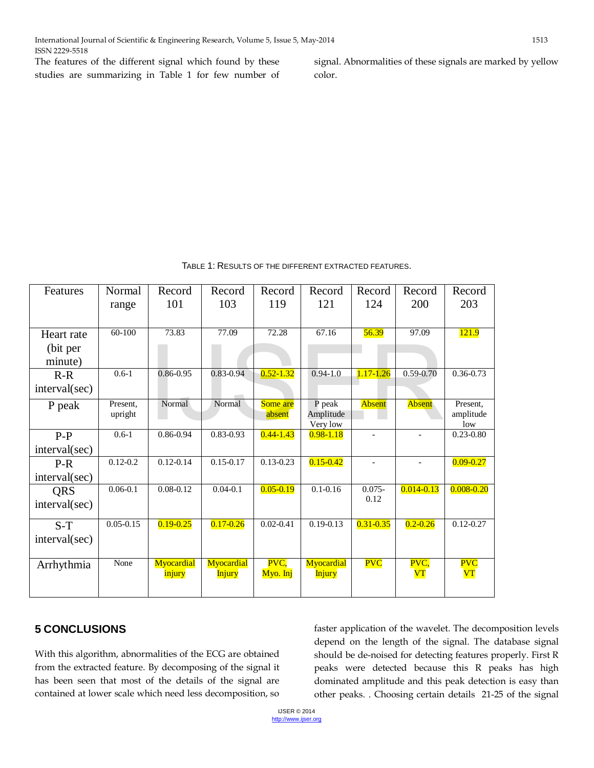The features of the different signal which found by these studies are summarizing in Table 1 for few number of signal. Abnormalities of these signals are marked by yellow color.

| Features      | Normal        | Record        | Record        | Record        | Record                | Record         | Record         | Record           |
|---------------|---------------|---------------|---------------|---------------|-----------------------|----------------|----------------|------------------|
|               | range         | 101           | 103           | 119           | 121                   | 124            | <b>200</b>     | 203              |
|               |               |               |               |               |                       |                |                |                  |
| Heart rate    | $60-100$      | 73.83         | 77.09         | 72.28         | 67.16                 | 56.39          | 97.09          | <b>121.9</b>     |
| (bit per      |               |               |               |               |                       |                |                |                  |
| minute)       |               |               |               |               |                       |                |                |                  |
| $R-R$         | $0.6 - 1$     | 0.86-0.95     | $0.83 - 0.94$ | $0.52 - 1.32$ | $0.94 - 1.0$          | $1.17 - 1.26$  | $0.59 - 0.70$  | $0.36 - 0.73$    |
| interval(sec) |               |               |               |               |                       |                |                |                  |
| P peak        | Present.      | Normal        | Normal        | Some are      | P peak                | Absent         | Absent         | Present,         |
|               | upright       |               |               | absent        | Amplitude<br>Very low |                |                | amplitude<br>low |
| $P-P$         | $0.6-1$       | 0.86-0.94     | $0.83 - 0.93$ | $0.44 - 1.43$ | $0.98 - 1.18$         | $\overline{a}$ | $\blacksquare$ | $0.23 - 0.80$    |
| interval(sec) |               |               |               |               |                       |                |                |                  |
| $P-R$         | $0.12 - 0.2$  | $0.12 - 0.14$ | $0.15 - 0.17$ | $0.13 - 0.23$ | $0.15 - 0.42$         |                |                | $0.09 - 0.27$    |
| interval(sec) |               |               |               |               |                       |                |                |                  |
| <b>QRS</b>    | $0.06 - 0.1$  | $0.08 - 0.12$ | $0.04 - 0.1$  | $0.05 - 0.19$ | $0.1 - 0.16$          | $0.075 -$      | $0.014 - 0.13$ | $0.008 - 0.20$   |
| interval(sec) |               |               |               |               |                       | 0.12           |                |                  |
| $S-T$         | $0.05 - 0.15$ | $0.19 - 0.25$ | $0.17 - 0.26$ | $0.02 - 0.41$ | $0.19 - 0.13$         | $0.31 - 0.35$  | $0.2 - 0.26$   | $0.12 - 0.27$    |
| interval(sec) |               |               |               |               |                       |                |                |                  |
|               |               |               |               |               |                       |                |                |                  |
| Arrhythmia    | None          | Myocardial    | Myocardial    | PVC,          | Myocardial            | <b>PVC</b>     | PVC.           | <b>PVC</b>       |
|               |               | <u>injury</u> | <b>Injury</b> | Myo. Inj      | <u>Injury</u>         |                | V T            | $\mathbf{VT}$    |
|               |               |               |               |               |                       |                |                |                  |

# **5 CONCLUSIONS**

With this algorithm, abnormalities of the ECG are obtained from the extracted feature. By decomposing of the signal it has been seen that most of the details of the signal are contained at lower scale which need less decomposition, so

faster application of the wavelet. The decomposition levels depend on the length of the signal. The database signal should be de-noised for detecting features properly. First R peaks were detected because this R peaks has high dominated amplitude and this peak detection is easy than other peaks. . Choosing certain details 21-25 of the signal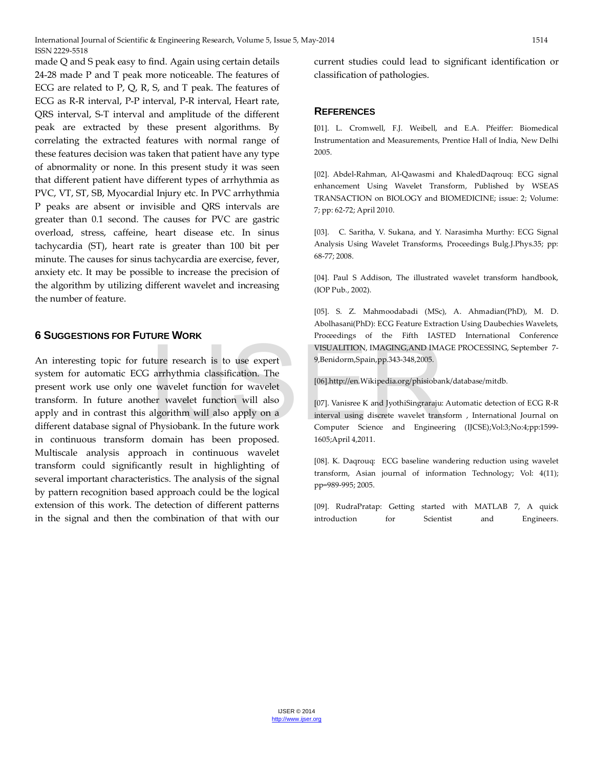made Q and S peak easy to find. Again using certain details 24-28 made P and T peak more noticeable. The features of ECG are related to P, Q, R, S, and T peak. The features of ECG as R-R interval, P-P interval, P-R interval, Heart rate, QRS interval, S-T interval and amplitude of the different peak are extracted by these present algorithms. By correlating the extracted features with normal range of these features decision was taken that patient have any type of abnormality or none. In this present study it was seen that different patient have different types of arrhythmia as PVC, VT, ST, SB, Myocardial Injury etc. In PVC arrhythmia P peaks are absent or invisible and QRS intervals are greater than 0.1 second. The causes for PVC are gastric overload, stress, caffeine, heart disease etc. In sinus tachycardia (ST), heart rate is greater than 100 bit per minute. The causes for sinus tachycardia are exercise, fever, anxiety etc. It may be possible to increase the precision of the algorithm by utilizing different wavelet and increasing the number of feature.

## **6 SUGGESTIONS FOR FUTURE WORK**

An interesting topic for future research is to use expert system for automatic ECG arrhythmia classification. The present work use only one wavelet function for wavelet transform. In future another wavelet function will also apply and in contrast this algorithm will also apply on a different database signal of Physiobank. In the future work in continuous transform domain has been proposed. Multiscale analysis approach in continuous wavelet transform could significantly result in highlighting of several important characteristics. The analysis of the signal by pattern recognition based approach could be the logical extension of this work. The detection of different patterns in the signal and then the combination of that with our VISUALITION, IMAGING, AND IMA<br>
atture research is to use expert<br>
arrhythmia classification. The<br>
e wavelet function for wavelet<br>
ner wavelet function will also<br>
algorithm will also apply on a<br>
Physiobank. In the future wor

current studies could lead to significant identification or classification of pathologies.

### **REFERENCES**

**[**01]. L. Cromwell, F.J. Weibell, and E.A. Pfeiffer: Biomedical Instrumentation and Measurements, Prentice Hall of India, New Delhi 2005.

[02]. Abdel-Rahman, Al-Qawasmi and KhaledDaqrouq: ECG signal enhancement Using Wavelet Transform, Published by WSEAS TRANSACTION on BIOLOGY and BIOMEDICINE; issue: 2; Volume: 7; pp: 62-72; April 2010.

[03]. C. Saritha, V. Sukana, and Y. Narasimha Murthy: ECG Signal Analysis Using Wavelet Transforms, Proceedings Bulg.J.Phys.35; pp: 68-77; 2008.

[04]. Paul S Addison, The illustrated wavelet transform handbook, (IOP Pub., 2002).

[05]. S. Z. Mahmoodabadi (MSc), A. Ahmadian(PhD), M. D. Abolhasani(PhD): ECG Feature Extraction Using Daubechies Wavelets, Proceedings of the Fifth IASTED International Conference VISUALITION, IMAGING,AND IMAGE PROCESSING, September 7- 9,Benidorm,Spain,pp.343-348,2005.

[06].http://en.Wikipedia.org/phisiobank/database/mitdb.

[07]. Vanisree K and JyothiSingraraju: Automatic detection of ECG R-R interval using discrete wavelet transform , International Journal on Computer Science and Engineering (IJCSE);Vol:3;No:4;pp:1599- 1605;April 4,2011.

[08]. K. Daqrouq: ECG baseline wandering reduction using wavelet transform, Asian journal of information Technology; Vol: 4(11); pp=989-995; 2005.

[09]. RudraPratap: Getting started with MATLAB 7, A quick introduction for Scientist and Engineers.